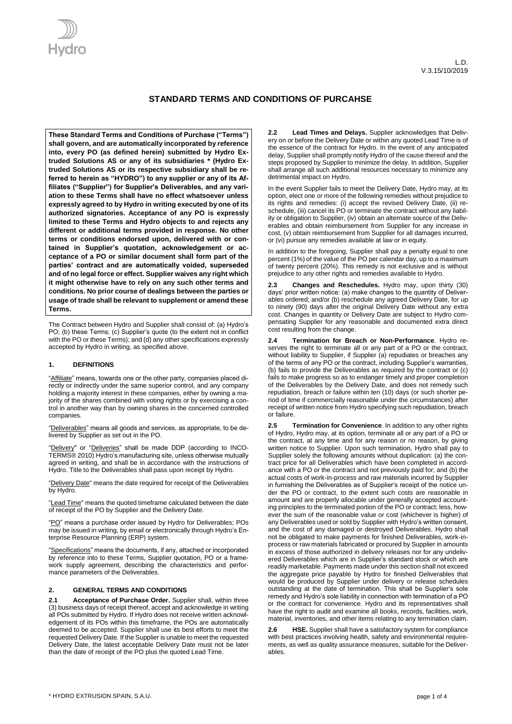

# **STANDARD TERMS AND CONDITIONS OF PURCAHSE**

**These Standard Terms and Conditions of Purchase ("Terms") shall govern, and are automatically incorporated by reference into, every PO (as defined herein) submitted by Hydro Extruded Solutions AS or any of its subsidiaries \* (Hydro Extruded Solutions AS or its respective subsidiary shall be referred to herein as "HYDRO") to any supplier or any of its Affiliates ("Supplier") for Supplier's Deliverables, and any variation to these Terms shall have no effect whatsoever unless expressly agreed to by Hydro in writing executed by one of its authorized signatories. Acceptance of any PO is expressly limited to these Terms and Hydro objects to and rejects any different or additional terms provided in response. No other terms or conditions endorsed upon, delivered with or contained in Supplier's quotation, acknowledgement or acceptance of a PO or similar document shall form part of the parties' contract and are automatically voided, superseded and of no legal force or effect. Supplier waives any right which it might otherwise have to rely on any such other terms and conditions. No prior course of dealings between the parties or usage of trade shall be relevant to supplement or amend these Terms.** 

The Contract between Hydro and Supplier shall consist of: (a) Hydro's PO; (b) these Terms; (c) Supplier's quote (to the extent not in conflict with the PO or these Terms); and (d) any other specifications expressly accepted by Hydro in writing, as specified above.

## **1. DEFINITIONS**

"Affiliate" means, towards one or the other party, companies placed directly or indirectly under the same superior control, and any company holding a majority interest in these companies, either by owning a majority of the shares combined with voting rights or by exercising a control in another way than by owning shares in the concerned controlled companies.

"Deliverables" means all goods and services, as appropriate, to be delivered by Supplier as set out in the PO.

"Delivery" or "Deliveries" shall be made DDP (according to INCO-TERMS® 2010) Hydro's manufacturing site, unless otherwise mutually agreed in writing, and shall be in accordance with the instructions of Hydro. Title to the Deliverables shall pass upon receipt by Hydro.

"Delivery Date" means the date required for receipt of the Deliverables by Hydro.

"Lead Time" means the quoted timeframe calculated between the date of receipt of the PO by Supplier and the Delivery Date.

"PO" means a purchase order issued by Hydro for Deliverables; POs may be issued in writing, by email or electronically through Hydro's Enterprise Resource Planning (ERP) system.

"Specifications" means the documents, if any, attached or incorporated by reference into to these Terms, Supplier quotation, PO or a framework supply agreement, describing the characteristics and performance parameters of the Deliverables.

### **2. GENERAL TERMS AND CONDITIONS**

**2.1 Acceptance of Purchase Order.** Supplier shall, within three (3) business days of receipt thereof, accept and acknowledge in writing all POs submitted by Hydro. If Hydro does not receive written acknowledgement of its POs within this timeframe, the POs are automatically deemed to be accepted. Supplier shall use its best efforts to meet the requested Delivery Date. If the Supplier is unable to meet the requested Delivery Date, the latest acceptable Delivery Date must not be later than the date of receipt of the PO plus the quoted Lead Time.

**2.2 Lead Times and Delays.** Supplier acknowledges that Delivery on or before the Delivery Date or within any quoted Lead Time is of the essence of the contract for Hydro. In the event of any anticipated delay, Supplier shall promptly notify Hydro of the cause thereof and the steps proposed by Supplier to minimize the delay. In addition, Supplier shall arrange all such additional resources necessary to minimize any detrimental impact on Hydro.

In the event Supplier fails to meet the Delivery Date, Hydro may, at its option, elect one or more of the following remedies without prejudice to its rights and remedies: (i) accept the revised Delivery Date, (ii) reschedule, (iii) cancel its PO or terminate the contract without any liability or obligation to Supplier, (iv) obtain an alternate source of the Deliverables and obtain reimbursement from Supplier for any increase in cost, (v) obtain reimbursement from Supplier for all damages incurred, or (vi) pursue any remedies available at law or in equity.

In addition to the foregoing, Supplier shall pay a penalty equal to one percent (1%) of the value of the PO per calendar day, up to a maximum of twenty percent (20%). This remedy is not exclusive and is without prejudice to any other rights and remedies available to Hydro.

**2.3 Changes and Reschedules.** Hydro may, upon thirty (30) days' prior written notice: (a) make changes to the quantity of Deliverables ordered; and/or (b) reschedule any agreed Delivery Date, for up to ninety (90) days after the original Delivery Date without any extra cost. Changes in quantity or Delivery Date are subject to Hydro compensating Supplier for any reasonable and documented extra direct cost resulting from the change.

**2.4 Termination for Breach or Non-Performance**. Hydro reserves the right to terminate all or any part of a PO or the contract, without liability to Supplier, if Supplier (a) repudiates or breaches any of the terms of any PO or the contract, including Supplier's warranties, (b) fails to provide the Deliverables as required by the contract or (c) fails to make progress so as to endanger timely and proper completion of the Deliverables by the Delivery Date, and does not remedy such repudiation, breach or failure within ten (10) days (or such shorter period of time if commercially reasonable under the circumstances) after receipt of written notice from Hydro specifying such repudiation, breach or failure.

**2.5 Termination for Convenience**. In addition to any other rights of Hydro, Hydro may, at its option, terminate all or any part of a PO or the contract, at any time and for any reason or no reason, by giving written notice to Supplier. Upon such termination, Hydro shall pay to Supplier solely the following amounts without duplication: (a) the contract price for all Deliverables which have been completed in accordance with a PO or the contract and not previously paid for; and (b) the actual costs of work-in-process and raw materials incurred by Supplier in furnishing the Deliverables as of Supplier's receipt of the notice under the PO or contract, to the extent such costs are reasonable in amount and are properly allocable under generally accepted accounting principles to the terminated portion of the PO or contract; less, however the sum of the reasonable value or cost (whichever is higher) of any Deliverables used or sold by Supplier with Hydro's written consent, and the cost of any damaged or destroyed Deliverables. Hydro shall not be obligated to make payments for finished Deliverables, work-inprocess or raw materials fabricated or procured by Supplier in amounts in excess of those authorized in delivery releases nor for any undelivered Deliverables which are in Supplier's standard stock or which are readily marketable. Payments made under this section shall not exceed the aggregate price payable by Hydro for finished Deliverables that would be produced by Supplier under delivery or release schedules outstanding at the date of termination. This shall be Supplier's sole remedy and Hydro's sole liability in connection with termination of a PO or the contract for convenience. Hydro and its representatives shall have the right to audit and examine all books, records, facilities, work, material, inventories, and other items relating to any termination claim.

**2.6 HSE.** Supplier shall have a satisfactory system for compliance with best practices involving health, safety and environmental requirements, as well as quality assurance measures, suitable for the Deliverables.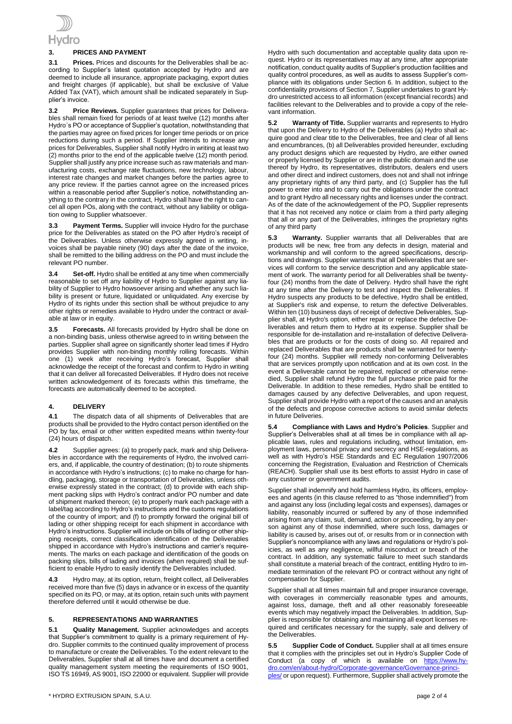

# **3. PRICES AND PAYMENT**

**3.1 Prices.** Prices and discounts for the Deliverables shall be according to Supplier's latest quotation accepted by Hydro and are deemed to include all insurance, appropriate packaging, export duties and freight charges (if applicable), but shall be exclusive of Value Added Tax (VAT), which amount shall be indicated separately in Supplier's invoice.

**3.2 Price Reviews.** Supplier guarantees that prices for Deliverables shall remain fixed for periods of at least twelve (12) months after Hydro´s PO or acceptance of Supplier's quotation, notwithstanding that the parties may agree on fixed prices for longer time periods or on price reductions during such a period. If Supplier intends to increase any prices for Deliverables, Supplier shall notify Hydro in writing at least two (2) months prior to the end of the applicable twelve (12) month period. Supplier shall justify any price increase such as raw materials and manufacturing costs, exchange rate fluctuations, new technology, labour, interest rate changes and market changes before the parties agree to any price review. If the parties cannot agree on the increased prices within a reasonable period after Supplier's notice, notwithstanding anything to the contrary in the contract, Hydro shall have the right to cancel all open POs, along with the contract, without any liability or obligation owing to Supplier whatsoever.

**3.3 Payment Terms.** Supplier will invoice Hydro for the purchase price for the Deliverables as stated on the PO after Hydro's receipt of the Deliverables. Unless otherwise expressly agreed in writing, invoices shall be payable ninety (90) days after the date of the invoice, shall be remitted to the billing address on the PO and must include the relevant PO number.

**3.4 Set-off.** Hydro shall be entitled at any time when commercially reasonable to set off any liability of Hydro to Supplier against any liability of Supplier to Hydro howsoever arising and whether any such liability is present or future, liquidated or unliquidated. Any exercise by Hydro of its rights under this section shall be without prejudice to any other rights or remedies available to Hydro under the contract or available at law or in equity.

**3.5 Forecasts.** All forecasts provided by Hydro shall be done on a non-binding basis, unless otherwise agreed to in writing between the parties. Supplier shall agree on significantly shorter lead times if Hydro provides Supplier with non-binding monthly rolling forecasts. Within one (1) week after receiving Hydro's forecast, Supplier shall acknowledge the receipt of the forecast and confirm to Hydro in writing that it can deliver all forecasted Deliverables. If Hydro does not receive written acknowledgement of its forecasts within this timeframe, the forecasts are automatically deemed to be accepted.

### **4. DELIVERY**

**4.1** The dispatch data of all shipments of Deliverables that are products shall be provided to the Hydro contact person identified on the PO by fax, email or other written expedited means within twenty-four (24) hours of dispatch.

**4.2** Supplier agrees: (a) to properly pack, mark and ship Deliverables in accordance with the requirements of Hydro, the involved carriers, and, if applicable, the country of destination; (b) to route shipments in accordance with Hydro's instructions; (c) to make no charge for handling, packaging, storage or transportation of Deliverables, unless otherwise expressly stated in the contract; (d) to provide with each shipment packing slips with Hydro's contract and/or PO number and date of shipment marked thereon; (e) to properly mark each package with a label/tag according to Hydro's instructions and the customs regulations of the country of import; and (f) to promptly forward the original bill of lading or other shipping receipt for each shipment in accordance with Hydro's instructions. Supplier will include on bills of lading or other shipping receipts, correct classification identification of the Deliverables shipped in accordance with Hydro's instructions and carrier's requirements. The marks on each package and identification of the goods on packing slips, bills of lading and invoices (when required) shall be sufficient to enable Hydro to easily identify the Deliverables included.

**4.3** Hydro may, at its option, return, freight collect, all Deliverables received more than five (5) days in advance or in excess of the quantity specified on its PO, or may, at its option, retain such units with payment therefore deferred until it would otherwise be due.

### **5. REPRESENTATIONS AND WARRANTIES**

**5.1 Quality Management.** Supplier acknowledges and accepts that Supplier's commitment to quality is a primary requirement of Hydro. Supplier commits to the continued quality improvement of process to manufacture or create the Deliverables. To the extent relevant to the Deliverables, Supplier shall at all times have and document a certified quality management system meeting the requirements of ISO 9001, ISO TS 16949, AS 9001, ISO 22000 or equivalent. Supplier will provide Hydro with such documentation and acceptable quality data upon request. Hydro or its representatives may at any time, after appropriate notification, conduct quality audits of Supplier's production facilities and quality control procedures, as well as audits to assess Supplier's compliance with its obligations under Section 6. In addition, subject to the confidentiality provisions of Section 7, Supplier undertakes to grant Hydro unrestricted access to all information (except financial records) and facilities relevant to the Deliverables and to provide a copy of the relevant information.

**5.2 Warranty of Title.** Supplier warrants and represents to Hydro that upon the Delivery to Hydro of the Deliverables (a) Hydro shall acquire good and clear title to the Deliverables, free and clear of all liens and encumbrances, (b) all Deliverables provided hereunder, excluding any product designs which are requested by Hydro, are either owned or properly licensed by Supplier or are in the public domain and the use thereof by Hydro, its representatives, distributors, dealers end users and other direct and indirect customers, does not and shall not infringe any proprietary rights of any third party, and (c) Supplier has the full power to enter into and to carry out the obligations under the contract and to grant Hydro all necessary rights and licenses under the contract. As of the date of the acknowledgement of the PO, Supplier represents that it has not received any notice or claim from a third party alleging that all or any part of the Deliverables, infringes the proprietary rights of any third party

**5.3 Warranty.** Supplier warrants that all Deliverables that are products will be new, free from any defects in design, material and workmanship and will conform to the agreed specifications, descriptions and drawings. Supplier warrants that all Deliverables that are services will conform to the service description and any applicable statement of work. The warranty period for all Deliverables shall be twentyfour (24) months from the date of Delivery. Hydro shall have the right at any time after the Delivery to test and inspect the Deliverables. If Hydro suspects any products to be defective, Hydro shall be entitled, at Supplier's risk and expense, to return the defective Deliverables. Within ten (10) business days of receipt of defective Deliverables, Supplier shall, at Hydro's option, either repair or replace the defective Deliverables and return them to Hydro at its expense. Supplier shall be responsible for de-installation and re-installation of defective Deliverables that are products or for the costs of doing so. All repaired and replaced Deliverables that are products shall be warranted for twentyfour (24) months. Supplier will remedy non-conforming Deliverables that are services promptly upon notification and at its own cost. In the event a Deliverable cannot be repaired, replaced or otherwise remedied, Supplier shall refund Hydro the full purchase price paid for the Deliverable. In addition to these remedies, Hydro shall be entitled to damages caused by any defective Deliverables, and upon request, Supplier shall provide Hydro with a report of the causes and an analysis of the defects and propose corrective actions to avoid similar defects in future Deliveries.

**5.4 Compliance with Laws and Hydro's Policies**. Supplier and Supplier's Deliverables shall at all times be in compliance with all applicable laws, rules and regulations including, without limitation, employment laws, personal privacy and secrecy and HSE-regulations, as well as with Hydro's HSE Standards and EC Regulation 1907/2006 concerning the Registration, Evaluation and Restriction of Chemicals (REACH). Supplier shall use its best efforts to assist Hydro in case of any customer or government audits.

Supplier shall indemnify and hold harmless Hydro, its officers, employees and agents (in this clause referred to as "those indemnified") from and against any loss (including legal costs and expenses), damages or liability, reasonably incurred or suffered by any of those indemnified arising from any claim, suit, demand, action or proceeding, by any person against any of those indemnified, where such loss, damages or liability is caused by, arises out of, or results from or in connection with Supplier's noncompliance with any laws and regulations or Hydro's policies, as well as any negligence, willful misconduct or breach of the contract. In addition, any systematic failure to meet such standards shall constitute a material breach of the contract, entitling Hydro to immediate termination of the relevant PO or contract without any right of compensation for Supplier.

Supplier shall at all times maintain full and proper insurance coverage, with coverages in commercially reasonable types and amounts, against loss, damage, theft and all other reasonably foreseeable events which may negatively impact the Deliverables. In addition, Supplier is responsible for obtaining and maintaining all export licenses required and certificates necessary for the supply, sale and delivery of the Deliverables.

**5.5 Supplier Code of Conduct.** Supplier shall at all times ensure that it complies with the principles set out in Hydro's Supplier Code of Conduct (a copy of which is available on [https://www.hy](https://www.hydro.com/en/about-hydro/Corporate-governance/Governance-principles/)[dro.com/en/about-hydro/Corporate-governance/Governance-princi](https://www.hydro.com/en/about-hydro/Corporate-governance/Governance-principles/)[ples/](https://www.hydro.com/en/about-hydro/Corporate-governance/Governance-principles/) or upon request). Furthermore, Supplier shall actively promote the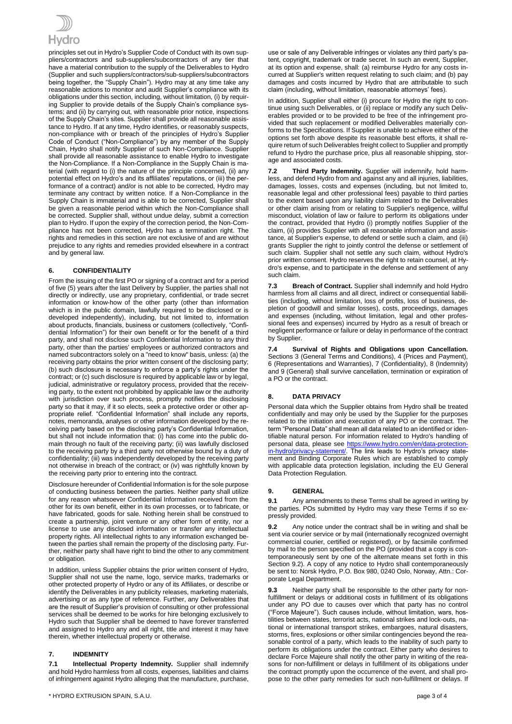

principles set out in Hydro's Supplier Code of Conduct with its own suppliers/contractors and sub-suppliers/subcontractors of any tier that have a material contribution to the supply of the Deliverables to Hydro (Supplier and such suppliers/contractors/sub-suppliers/subcontractors being together, the "Supply Chain"). Hydro may at any time take any reasonable actions to monitor and audit Supplier's compliance with its obligations under this section, including, without limitation, (i) by requiring Supplier to provide details of the Supply Chain's compliance systems; and (ii) by carrying out, with reasonable prior notice, inspections of the Supply Chain's sites. Supplier shall provide all reasonable assistance to Hydro. If at any time, Hydro identifies, or reasonably suspects, non-compliance with or breach of the principles of Hydro's Supplier Code of Conduct ("Non-Compliance") by any member of the Supply Chain, Hydro shall notify Supplier of such Non-Compliance. Supplier shall provide all reasonable assistance to enable Hydro to investigate the Non-Compliance. If a Non-Compliance in the Supply Chain is material (with regard to (i) the nature of the principle concerned, (ii) any potential effect on Hydro's and its affiliates' reputations, or (iii) the performance of a contract) and/or is not able to be corrected, Hydro may terminate any contract by written notice. If a Non-Compliance in the Supply Chain is immaterial and is able to be corrected, Supplier shall be given a reasonable period within which the Non-Compliance shall be corrected. Supplier shall, without undue delay, submit a correction plan to Hydro. If upon the expiry of the correction period, the Non-Compliance has not been corrected, Hydro has a termination right. The rights and remedies in this section are not exclusive of and are without prejudice to any rights and remedies provided elsewhere in a contract and by general law.

## **6. CONFIDENTIALITY**

From the issuing of the first PO or signing of a contract and for a period of five (5) years after the last Delivery by Supplier, the parties shall not directly or indirectly, use any proprietary, confidential, or trade secret information or know-how of the other party (other than information which is in the public domain, lawfully required to be disclosed or is developed independently), including, but not limited to, information about products, financials, business or customers (collectively, "Confidential Information") for their own benefit or for the benefit of a third party, and shall not disclose such Confidential Information to any third party, other than the parties' employees or authorized contractors and named subcontractors solely on a "need to know" basis, unless: (a) the receiving party obtains the prior written consent of the disclosing party; (b) such disclosure is necessary to enforce a party's rights under the contract; or (c) such disclosure is required by applicable law or by legal, judicial, administrative or regulatory process, provided that the receiving party, to the extent not prohibited by applicable law or the authority with jurisdiction over such process, promptly notifies the disclosing party so that it may, if it so elects, seek a protective order or other appropriate relief. "Confidential Information" shall include any reports, notes, memoranda, analyses or other information developed by the receiving party based on the disclosing party's Confidential Information, but shall not include information that: (i) has come into the public domain through no fault of the receiving party; (ii) was lawfully disclosed to the receiving party by a third party not otherwise bound by a duty of confidentiality; (iii) was independently developed by the receiving party not otherwise in breach of the contract; or (iv) was rightfully known by the receiving party prior to entering into the contract.

Disclosure hereunder of Confidential Information is for the sole purpose of conducting business between the parties. Neither party shall utilize for any reason whatsoever Confidential Information received from the other for its own benefit, either in its own processes, or to fabricate, or have fabricated, goods for sale. Nothing herein shall be construed to create a partnership, joint venture or any other form of entity, nor a license to use any disclosed information or transfer any intellectual property rights. All intellectual rights to any information exchanged between the parties shall remain the property of the disclosing party. Further, neither party shall have right to bind the other to any commitment or obligation.

In addition, unless Supplier obtains the prior written consent of Hydro, Supplier shall not use the name, logo, service marks, trademarks or other protected property of Hydro or any of its Affiliates, or describe or identify the Deliverables in any publicity releases, marketing materials, advertising or as any type of reference. Further, any Deliverables that are the result of Supplier's provision of consulting or other professional services shall be deemed to be works for hire belonging exclusively to Hydro such that Supplier shall be deemed to have forever transferred and assigned to Hydro any and all right, title and interest it may have therein, whether intellectual property or otherwise.

# **7. INDEMNITY**

**7.1 Intellectual Property Indemnity.** Supplier shall indemnify and hold Hydro harmless from all costs, expenses, liabilities and claims of infringement against Hydro alleging that the manufacture, purchase,

use or sale of any Deliverable infringes or violates any third party's patent, copyright, trademark or trade secret. In such an event, Supplier, at its option and expense, shall: (a) reimburse Hydro for any costs incurred at Supplier's written request relating to such claim; and (b) pay damages and costs incurred by Hydro that are attributable to such claim (including, without limitation, reasonable attorneys' fees).

In addition, Supplier shall either (i) procure for Hydro the right to continue using such Deliverables, or (ii) replace or modify any such Deliverables provided or to be provided to be free of the infringement provided that such replacement or modified Deliverables materially conforms to the Specifications. If Supplier is unable to achieve either of the options set forth above despite its reasonable best efforts, it shall require return of such Deliverables freight collect to Supplier and promptly refund to Hydro the purchase price, plus all reasonable shipping, storage and associated costs.

**7.2 Third Party Indemnity.** Supplier will indemnify, hold harmless, and defend Hydro from and against any and all injuries, liabilities, damages, losses, costs and expenses (including, but not limited to, reasonable legal and other professional fees) payable to third parties to the extent based upon any liability claim related to the Deliverables or other claim arising from or relating to Supplier's negligence, willful misconduct, violation of law or failure to perform its obligations under the contract, provided that Hydro (i) promptly notifies Supplier of the claim, (ii) provides Supplier with all reasonable information and assistance, at Supplier's expense, to defend or settle such a claim, and (iii) grants Supplier the right to jointly control the defense or settlement of such claim. Supplier shall not settle any such claim, without Hydro's prior written consent. Hydro reserves the right to retain counsel, at Hydro's expense, and to participate in the defense and settlement of any such claim.

**7.3 Breach of Contract.** Supplier shall indemnify and hold Hydro harmless from all claims and all direct, indirect or consequential liabilities (including, without limitation, loss of profits, loss of business, depletion of goodwill and similar losses), costs, proceedings, damages and expenses (including, without limitation, legal and other professional fees and expenses) incurred by Hydro as a result of breach or negligent performance or failure or delay in performance of the contract by Supplier

**7.4 Survival of Rights and Obligations upon Cancellation.** Sections 3 (General Terms and Conditions), 4 (Prices and Payment), 6 (Representations and Warranties), 7 (Confidentiality), 8 (Indemnity) and 9 (General) shall survive cancellation, termination or expiration of a PO or the contract.

# **8. DATA PRIVACY**

Personal data which the Supplier obtains from Hydro shall be treated confidentially and may only be used by the Supplier for the purposes related to the initiation and execution of any PO or the contract. The term "Personal Data" shall mean all data related to an identified or identifiable natural person. For information related to Hydro's handling of personal data, please see https://www.hydro.com/en/data-prote [in-hydro/privacy-statement/.](https://www.hydro.com/en/data-protection-in-hydro/privacy-statement/) The link leads to Hydro's privacy statement and Binding Corporate Rules which are established to comply with applicable data protection legislation, including the EU General Data Protection Regulation.

### **9. GENERAL**

**9.1** Any amendments to these Terms shall be agreed in writing by the parties. POs submitted by Hydro may vary these Terms if so expressly provided

**9.2** Any notice under the contract shall be in writing and shall be sent via courier service or by mail (internationally recognized overnight commercial courier, certified or registered), or by facsimile confirmed by mail to the person specified on the PO (provided that a copy is contemporaneously sent by one of the alternate means set forth in this Section 9.2). A copy of any notice to Hydro shall contemporaneously be sent to: Norsk Hydro, P.O. Box 980, 0240 Oslo, Norway, Attn.: Corporate Legal Department.

**9.3** Neither party shall be responsible to the other party for nonfulfillment or delays or additional costs in fulfillment of its obligations under any PO due to causes over which that party has no control ("Force Majeure"). Such causes include, without limitation, wars, hostilities between states, terrorist acts, national strikes and lock-outs, national or international transport strikes, embargoes, natural disasters, storms, fires, explosions or other similar contingencies beyond the reasonable control of a party, which leads to the inability of such party to perform its obligations under the contract. Either party who desires to declare Force Majeure shall notify the other party in writing of the reasons for non-fulfillment or delays in fulfillment of its obligations under the contract promptly upon the occurrence of the event, and shall propose to the other party remedies for such non-fulfillment or delays. If